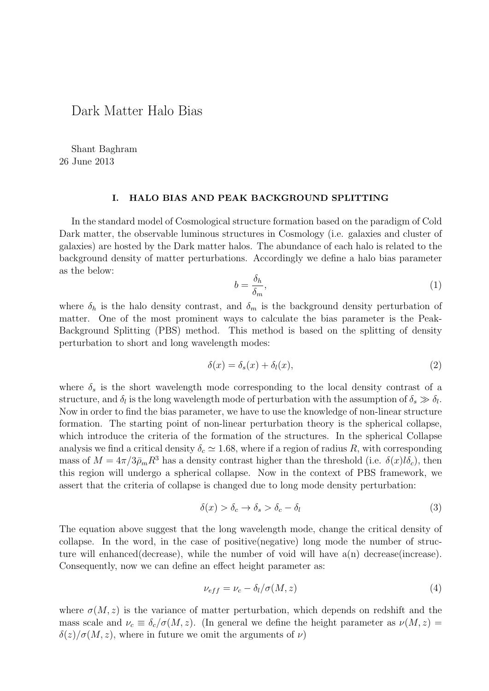## Dark Matter Halo Bias

Shant Baghram 26 June 2013

## **I. HALO BIAS AND PEAK BACKGROUND SPLITTING**

In the standard model of Cosmological structure formation based on the paradigm of Cold Dark matter, the observable luminous structures in Cosmology (i.e. galaxies and cluster of galaxies) are hosted by the Dark matter halos. The abundance of each halo is related to the background density of matter perturbations. Accordingly we define a halo bias parameter as the below:

$$
b = \frac{\delta_h}{\delta_m},\tag{1}
$$

where  $\delta_h$  is the halo density contrast, and  $\delta_m$  is the background density perturbation of matter. One of the most prominent ways to calculate the bias parameter is the Peak-Background Splitting (PBS) method. This method is based on the splitting of density perturbation to short and long wavelength modes:

$$
\delta(x) = \delta_s(x) + \delta_l(x),\tag{2}
$$

where  $\delta_s$  is the short wavelength mode corresponding to the local density contrast of a structure, and  $\delta_l$  is the long wavelength mode of perturbation with the assumption of  $\delta_s \gg \delta_l$ . Now in order to find the bias parameter, we have to use the knowledge of non-linear structure formation. The starting point of non-linear perturbation theory is the spherical collapse, which introduce the criteria of the formation of the structures. In the spherical Collapse analysis we find a critical density  $\delta_c \simeq 1.68$ , where if a region of radius R, with corresponding mass of  $M = 4\pi/3\bar{\rho}_m R^3$  has a density contrast higher than the threshold (i.e.  $\delta(x)l\delta_c$ ), then this region will undergo a spherical collapse. Now in the context of PBS framework, we assert that the criteria of collapse is changed due to long mode density perturbation:

$$
\delta(x) > \delta_c \to \delta_s > \delta_c - \delta_l \tag{3}
$$

The equation above suggest that the long wavelength mode, change the critical density of collapse. In the word, in the case of positive(negative) long mode the number of structure will enhanced (decrease), while the number of void will have  $a(n)$  decrease (increase). Consequently, now we can define an effect height parameter as:

$$
\nu_{eff} = \nu_c - \delta_l/\sigma(M, z) \tag{4}
$$

where  $\sigma(M, z)$  is the variance of matter perturbation, which depends on redshift and the mass scale and  $\nu_c \equiv \delta_c/\sigma(M, z)$ . (In general we define the height parameter as  $\nu(M, z)$  $\delta(z)/\sigma(M, z)$ , where in future we omit the arguments of *ν*)